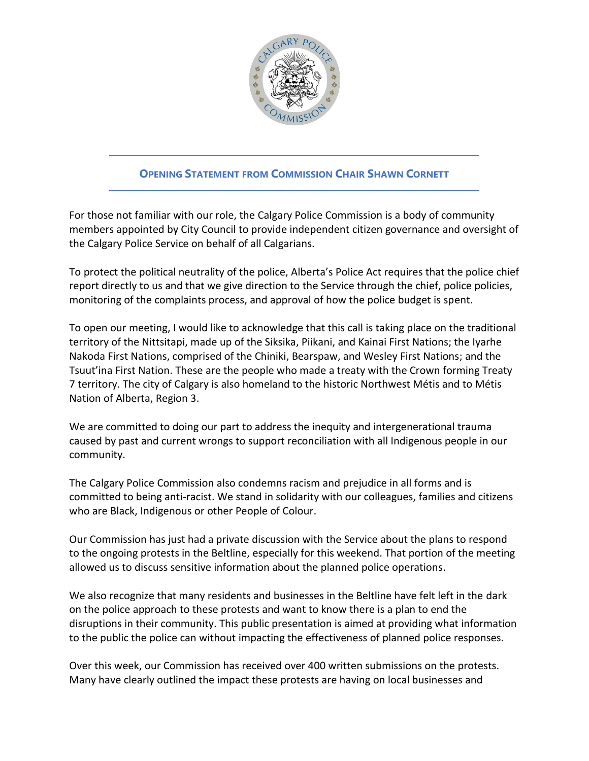

## **OPENING STATEMENT FROM COMMISSION CHAIR SHAWN CORNETT**

For those not familiar with our role, the Calgary Police Commission is a body of community members appointed by City Council to provide independent citizen governance and oversight of the Calgary Police Service on behalf of all Calgarians.

To protect the political neutrality of the police, Alberta's Police Act requires that the police chief report directly to us and that we give direction to the Service through the chief, police policies, monitoring of the complaints process, and approval of how the police budget is spent.

To open our meeting, I would like to acknowledge that this call is taking place on the traditional territory of the Nittsitapi, made up of the Siksika, Piikani, and Kainai First Nations; the Iyarhe Nakoda First Nations, comprised of the Chiniki, Bearspaw, and Wesley First Nations; and the Tsuut'ina First Nation. These are the people who made a treaty with the Crown forming Treaty 7 territory. The city of Calgary is also homeland to the historic Northwest Métis and to Métis Nation of Alberta, Region 3.

We are committed to doing our part to address the inequity and intergenerational trauma caused by past and current wrongs to support reconciliation with all Indigenous people in our community.

The Calgary Police Commission also condemns racism and prejudice in all forms and is committed to being anti-racist. We stand in solidarity with our colleagues, families and citizens who are Black, Indigenous or other People of Colour.

Our Commission has just had a private discussion with the Service about the plans to respond to the ongoing protests in the Beltline, especially for this weekend. That portion of the meeting allowed us to discuss sensitive information about the planned police operations.

We also recognize that many residents and businesses in the Beltline have felt left in the dark on the police approach to these protests and want to know there is a plan to end the disruptions in their community. This public presentation is aimed at providing what information to the public the police can without impacting the effectiveness of planned police responses.

Over this week, our Commission has received over 400 written submissions on the protests. Many have clearly outlined the impact these protests are having on local businesses and